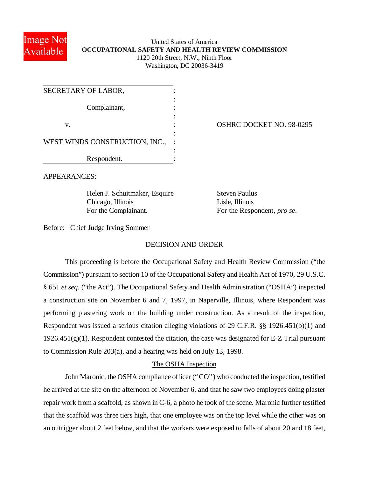

# United States of America **OCCUPATIONAL SAFETY AND HEALTH REVIEW COMMISSION** 1120 20th Street, N.W., Ninth Floor Washington, DC 20036-3419

| SECRETARY OF LABOR,            |  |
|--------------------------------|--|
| Complainant,                   |  |
|                                |  |
| V.                             |  |
| WEST WINDS CONSTRUCTION, INC., |  |
|                                |  |
| Respondent.                    |  |

OSHRC DOCKET NO. 98-0295

APPEARANCES:

Helen J. Schuitmaker, Esquire Steven Paulus Chicago, Illinois Lisle, Illinois For the Complainant. For the Respondent, *pro se*.

Before: Chief Judge Irving Sommer

# DECISION AND ORDER

This proceeding is before the Occupational Safety and Health Review Commission ("the Commission") pursuant to section 10 of the Occupational Safety and Health Act of 1970, 29 U.S.C. § 651 *et seq*. ("the Act"). The Occupational Safety and Health Administration ("OSHA") inspected a construction site on November 6 and 7, 1997, in Naperville, Illinois, where Respondent was performing plastering work on the building under construction. As a result of the inspection, Respondent was issued a serious citation alleging violations of 29 C.F.R. §§ 1926.451(b)(1) and  $1926.451(g)(1)$ . Respondent contested the citation, the case was designated for E-Z Trial pursuant to Commission Rule 203(a), and a hearing was held on July 13, 1998.

# The OSHA Inspection

John Maronic, the OSHA compliance officer ("CO") who conducted the inspection, testified he arrived at the site on the afternoon of November 6, and that he saw two employees doing plaster repair work from a scaffold, as shown in C-6, a photo he took of the scene. Maronic further testified that the scaffold was three tiers high, that one employee was on the top level while the other was on an outrigger about 2 feet below, and that the workers were exposed to falls of about 20 and 18 feet,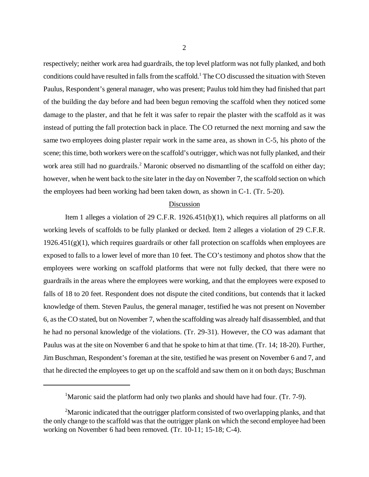respectively; neither work area had guardrails, the top level platform was not fully planked, and both conditions could have resulted in falls from the scaffold.<sup>1</sup> The CO discussed the situation with Steven Paulus, Respondent's general manager, who was present; Paulus told him they had finished that part of the building the day before and had been begun removing the scaffold when they noticed some damage to the plaster, and that he felt it was safer to repair the plaster with the scaffold as it was instead of putting the fall protection back in place. The CO returned the next morning and saw the same two employees doing plaster repair work in the same area, as shown in C-5, his photo of the scene; this time, both workers were on the scaffold's outrigger, which was not fully planked, and their work area still had no guardrails.<sup>2</sup> Maronic observed no dismantling of the scaffold on either day; however, when he went back to the site later in the day on November 7, the scaffold section on which the employees had been working had been taken down, as shown in C-1. (Tr. 5-20).

#### Discussion

Item 1 alleges a violation of 29 C.F.R. 1926.451(b)(1), which requires all platforms on all working levels of scaffolds to be fully planked or decked. Item 2 alleges a violation of 29 C.F.R.  $1926.451(g)(1)$ , which requires guardrails or other fall protection on scaffolds when employees are exposed to falls to a lower level of more than 10 feet. The CO's testimony and photos show that the employees were working on scaffold platforms that were not fully decked, that there were no guardrails in the areas where the employees were working, and that the employees were exposed to falls of 18 to 20 feet. Respondent does not dispute the cited conditions, but contends that it lacked knowledge of them. Steven Paulus, the general manager, testified he was not present on November 6, as the CO stated, but on November 7, when the scaffolding was already half disassembled, and that he had no personal knowledge of the violations. (Tr. 29-31). However, the CO was adamant that Paulus was at the site on November 6 and that he spoke to him at that time. (Tr. 14; 18-20). Further, Jim Buschman, Respondent's foreman at the site, testified he was present on November 6 and 7, and that he directed the employees to get up on the scaffold and saw them on it on both days; Buschman

<sup>&</sup>lt;sup>1</sup>Maronic said the platform had only two planks and should have had four. (Tr. 7-9).

<sup>&</sup>lt;sup>2</sup>Maronic indicated that the outrigger platform consisted of two overlapping planks, and that the only change to the scaffold was that the outrigger plank on which the second employee had been working on November 6 had been removed. (Tr. 10-11; 15-18; C-4).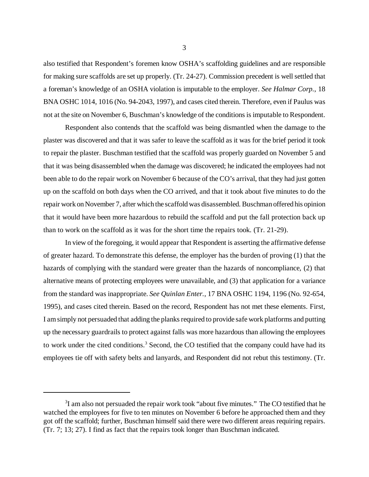also testified that Respondent's foremen know OSHA's scaffolding guidelines and are responsible for making sure scaffolds are set up properly. (Tr. 24-27). Commission precedent is well settled that a foreman's knowledge of an OSHA violation is imputable to the employer. *See Halmar Corp.*, 18 BNA OSHC 1014, 1016 (No. 94-2043, 1997), and cases cited therein. Therefore, even if Paulus was not at the site on November 6, Buschman's knowledge of the conditions is imputable to Respondent.

Respondent also contends that the scaffold was being dismantled when the damage to the plaster was discovered and that it was safer to leave the scaffold as it was for the brief period it took to repair the plaster. Buschman testified that the scaffold was properly guarded on November 5 and that it was being disassembled when the damage was discovered; he indicated the employees had not been able to do the repair work on November 6 because of the CO's arrival, that they had just gotten up on the scaffold on both days when the CO arrived, and that it took about five minutes to do the repair work on November 7, after which the scaffold was disassembled. Buschman offered his opinion that it would have been more hazardous to rebuild the scaffold and put the fall protection back up than to work on the scaffold as it was for the short time the repairs took. (Tr. 21-29).

In view of the foregoing, it would appear that Respondent is asserting the affirmative defense of greater hazard. To demonstrate this defense, the employer has the burden of proving (1) that the hazards of complying with the standard were greater than the hazards of noncompliance, (2) that alternative means of protecting employees were unavailable, and (3) that application for a variance from the standard was inappropriate. *See Quinlan Enter.*, 17 BNA OSHC 1194, 1196 (No. 92-654, 1995), and cases cited therein. Based on the record, Respondent has not met these elements. First, I am simply not persuaded that adding the planks required to provide safe work platforms and putting up the necessary guardrails to protect against falls was more hazardous than allowing the employees to work under the cited conditions.<sup>3</sup> Second, the CO testified that the company could have had its employees tie off with safety belts and lanyards, and Respondent did not rebut this testimony. (Tr.

 $3$ I am also not persuaded the repair work took "about five minutes." The CO testified that he watched the employees for five to ten minutes on November 6 before he approached them and they got off the scaffold; further, Buschman himself said there were two different areas requiring repairs. (Tr. 7; 13; 27). I find as fact that the repairs took longer than Buschman indicated.